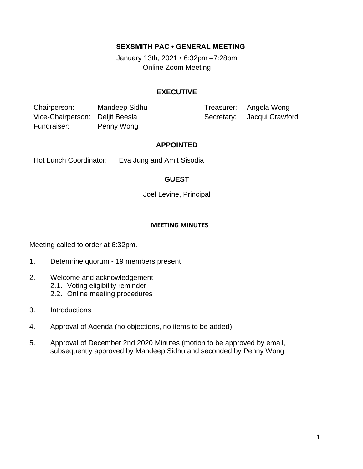## **SEXSMITH PAC • GENERAL MEETING**

January 13th, 2021 *•* 6:32pm –7:28pm Online Zoom Meeting

## **EXECUTIVE**

Chairperson: Mandeep Sidhu Treasurer: Angela Wong Vice-Chairperson: Deljit Beesla Secretary: Jacqui Crawford Fundraiser: Penny Wong

#### **APPOINTED**

Hot Lunch Coordinator: Eva Jung and Amit Sisodia

## **GUEST**

Joel Levine, Principal

#### **MEETING MINUTES**

Meeting called to order at 6:32pm.

- 1. Determine quorum 19 members present
- 2. Welcome and acknowledgement
	- 2.1. Voting eligibility reminder
	- 2.2. Online meeting procedures
- 3. Introductions
- 4. Approval of Agenda (no objections, no items to be added)
- 5. Approval of December 2nd 2020 Minutes (motion to be approved by email, subsequently approved by Mandeep Sidhu and seconded by Penny Wong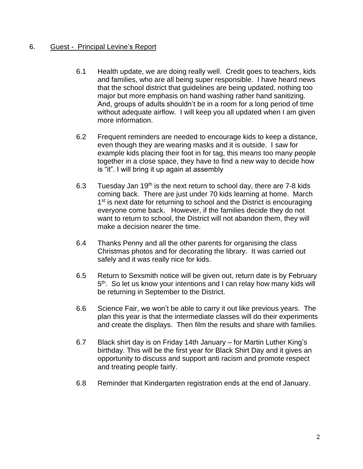## 6. Guest - Principal Levine's Report

- 6.1 Health update, we are doing really well. Credit goes to teachers, kids and families, who are all being super responsible. I have heard news that the school district that guidelines are being updated, nothing too major but more emphasis on hand washing rather hand sanitizing. And, groups of adults shouldn't be in a room for a long period of time without adequate airflow. I will keep you all updated when I am given more information.
- 6.2 Frequent reminders are needed to encourage kids to keep a distance, even though they are wearing masks and it is outside. I saw for example kids placing their foot in for tag, this means too many people together in a close space, they have to find a new way to decide how is "it". I will bring it up again at assembly
- 6.3 Tuesday Jan  $19<sup>th</sup>$  is the next return to school day, there are 7-8 kids coming back. There are just under 70 kids learning at home. March 1<sup>st</sup> is next date for returning to school and the District is encouraging everyone come back. However, if the families decide they do not want to return to school, the District will not abandon them, they will make a decision nearer the time.
- 6.4 Thanks Penny and all the other parents for organising the class Christmas photos and for decorating the library. It was carried out safely and it was really nice for kids.
- 6.5 Return to Sexsmith notice will be given out, return date is by February 5<sup>th</sup>. So let us know your intentions and I can relay how many kids will be returning in September to the District.
- 6.6 Science Fair, we won't be able to carry it out like previous years. The plan this year is that the intermediate classes will do their experiments and create the displays. Then film the results and share with families.
- 6.7 Black shirt day is on Friday 14th January for Martin Luther King's birthday. This will be the first year for Black Shirt Day and it gives an opportunity to discuss and support anti racism and promote respect and treating people fairly.
- 6.8 Reminder that Kindergarten registration ends at the end of January.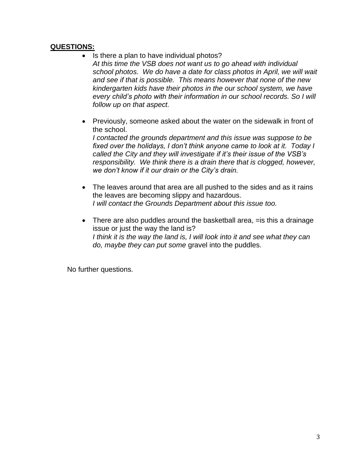## **QUESTIONS:**

- Is there a plan to have individual photos? *At this time the VSB does not want us to go ahead with individual school photos. We do have a date for class photos in April, we will wait and see if that is possible. This means however that none of the new kindergarten kids have their photos in the our school system, we have every child's photo with their information in our school records. So I will follow up on that aspect.*
- Previously, someone asked about the water on the sidewalk in front of the school.

*I contacted the grounds department and this issue was suppose to be fixed over the holidays, I don't think anyone came to look at it. Today I called the City and they will investigate if it's their issue of the VSB's responsibility. We think there is a drain there that is clogged, however, we don't know if it our drain or the City's drain.*

- The leaves around that area are all pushed to the sides and as it rains the leaves are becoming slippy and hazardous. *I will contact the Grounds Department about this issue too.*
- There are also puddles around the basketball area, = is this a drainage issue or just the way the land is? I think it is the way the land is, I will look into it and see what they can *do, maybe they can put some* gravel into the puddles.

No further questions.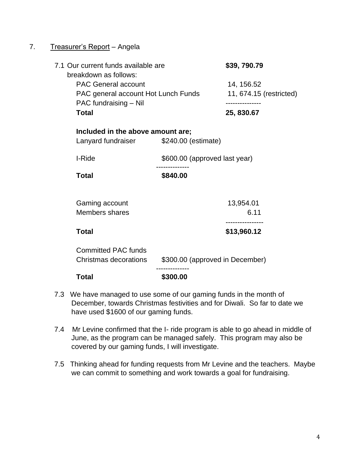# 7. Treasurer's Report - Angela

| 7.1 Our current funds available are<br>breakdown as follows:<br><b>PAC General account</b><br>PAC general account Hot Lunch Funds<br>PAC fundraising - Nil<br><b>Total</b> |                                 | \$39,790.79                           |
|----------------------------------------------------------------------------------------------------------------------------------------------------------------------------|---------------------------------|---------------------------------------|
|                                                                                                                                                                            |                                 | 14, 156.52<br>11, 674.15 (restricted) |
|                                                                                                                                                                            |                                 | 25, 830.67                            |
| Included in the above amount are;                                                                                                                                          |                                 |                                       |
| Lanyard fundraiser                                                                                                                                                         | \$240.00 (estimate)             |                                       |
| I-Ride                                                                                                                                                                     | \$600.00 (approved last year)   |                                       |
| <b>Total</b>                                                                                                                                                               | \$840.00                        |                                       |
| Gaming account                                                                                                                                                             |                                 | 13,954.01                             |
| <b>Members shares</b>                                                                                                                                                      |                                 | 6.11                                  |
| <b>Total</b>                                                                                                                                                               |                                 | \$13,960.12                           |
| <b>Committed PAC funds</b><br>Christmas decorations                                                                                                                        | \$300.00 (approved in December) |                                       |
| <b>Total</b>                                                                                                                                                               | \$300.00                        |                                       |

- 7.3 We have managed to use some of our gaming funds in the month of December, towards Christmas festivities and for Diwali. So far to date we have used \$1600 of our gaming funds.
- 7.4 Mr Levine confirmed that the I- ride program is able to go ahead in middle of June, as the program can be managed safely. This program may also be covered by our gaming funds, I will investigate.
- 7.5 Thinking ahead for funding requests from Mr Levine and the teachers. Maybe we can commit to something and work towards a goal for fundraising.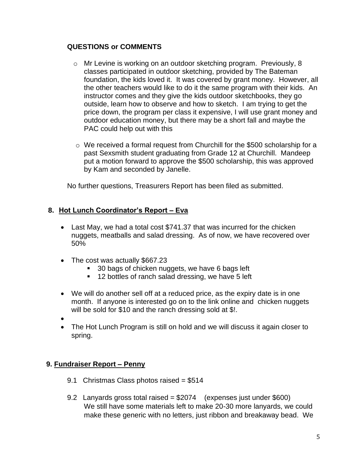## **QUESTIONS or COMMENTS**

- o Mr Levine is working on an outdoor sketching program. Previously, 8 classes participated in outdoor sketching, provided by The Bateman foundation, the kids loved it. It was covered by grant money. However, all the other teachers would like to do it the same program with their kids. An instructor comes and they give the kids outdoor sketchbooks, they go outside, learn how to observe and how to sketch. I am trying to get the price down, the program per class it expensive, I will use grant money and outdoor education money, but there may be a short fall and maybe the PAC could help out with this
- $\circ$  We received a formal request from Churchill for the \$500 scholarship for a past Sexsmith student graduating from Grade 12 at Churchill. Mandeep put a motion forward to approve the \$500 scholarship, this was approved by Kam and seconded by Janelle.

No further questions, Treasurers Report has been filed as submitted.

# **8. Hot Lunch Coordinator's Report – Eva**

- Last May, we had a total cost \$741.37 that was incurred for the chicken nuggets, meatballs and salad dressing. As of now, we have recovered over 50%
- The cost was actually \$667.23
	- 30 bags of chicken nuggets, we have 6 bags left
	- 12 bottles of ranch salad dressing, we have 5 left
- We will do another sell off at a reduced price, as the expiry date is in one month. If anyone is interested go on to the link online and chicken nuggets will be sold for \$10 and the ranch dressing sold at \$!.
- •
- The Hot Lunch Program is still on hold and we will discuss it again closer to spring.

# **9. Fundraiser Report – Penny**

- 9.1 Christmas Class photos raised = \$514
- 9.2 Lanyards gross total raised = \$2074 (expenses just under \$600) We still have some materials left to make 20-30 more lanyards, we could make these generic with no letters, just ribbon and breakaway bead. We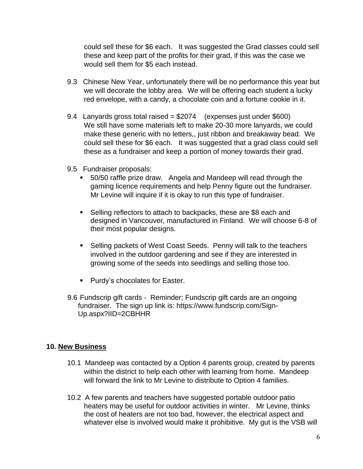could sell these for \$6 each. It was suggested the Grad classes could sell these and keep part of the profits for their grad, if this was the case we would sell them for \$5 each instead.

- 9.3 Chinese New Year, unfortunately there will be no performance this year but we will decorate the lobby area. We will be offering each student a lucky red envelope, with a candy, a chocolate coin and a fortune cookie in it.
- 9.4 Lanyards gross total raised = \$2074 (expenses just under \$600) We still have some materials left to make 20-30 more lanyards, we could make these generic with no letters,, just ribbon and breakaway bead. We could sell these for \$6 each. It was suggested that a grad class could sell these as a fundraiser and keep a portion of money towards their grad.
- 9.5 Fundraiser proposals:
	- 50/50 raffle prize draw. Angela and Mandeep will read through the gaming licence requirements and help Penny figure out the fundraiser. Mr Levine will inquire if it is okay to run this type of fundraiser.
	- Selling reflectors to attach to backpacks, these are \$8 each and designed in Vancouver, manufactured in Finland. We will choose 6-8 of their most popular designs.
	- Selling packets of West Coast Seeds. Penny will talk to the teachers involved in the outdoor gardening and see if they are interested in growing some of the seeds into seedlings and selling those too.
	- Purdy's chocolates for Easter.
- 9.6 Fundscrip gift cards Reminder; Fundscrip gift cards are an ongoing fundraiser. The sign up link is: https://www.fundscrip.com/Sign-Up.aspx?IID=2CBHHR

## **10. New Business**

- 10.1 Mandeep was contacted by a Option 4 parents group, created by parents within the district to help each other with learning from home. Mandeep will forward the link to Mr Levine to distribute to Option 4 families.
- 10.2 A few parents and teachers have suggested portable outdoor patio heaters may be useful for outdoor activities in winter. Mr Levine, thinks the cost of heaters are not too bad, however, the electrical aspect and whatever else is involved would make it prohibitive. My gut is the VSB will